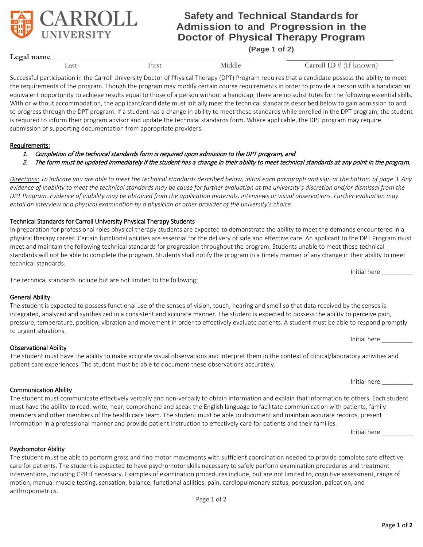# **Safety and Technical Standards for Admission to and Progression in the Doctor of Physical Therapy Program**

**(Page 1 of 2)**

First Middle Carroll ID # (If known)

Successful participation in the Carroll University Doctor of Physical Therapy (DPT) Program requires that a candidate possess the ability to meet the requirements of the program. Though the program may modify certain course requirements in order to provide a person with a handicap an equivalent opportunity to achieve results equal to those of a person without a handicap, there are no substitutes for the following essential skills. With or without accommodation, the applicant/candidate must initially meet the technical standards described below to gain admission to and to progress through the DPT program. If a student has a change in ability to meet these standards while enrolled in the DPT program, the student is required to inform their program advisor and update the technical standards form. Where applicable, the DPT program may require submission of supporting documentation from appropriate providers.

### Requirements:

- 1. Completion of the technical standards form is required upon admission to the DPT program, and
- 2. The form must be updated immediately if the student has a change in their ability to meet technical standards at any point in the program.

*Directions: To indicate you are able to meet the technical standards described below, initial each paragraph and sign at the bottom of page 3. Any evidence of inability to meet the technical standards may be cause for further evaluation at the university's discretion and/or dismissal from the DPT Program. Evidence of inability may be obtained from the application materials, interviews or visual observations. Further evaluation may entail an interview or a physical examination by a physician or other provider of the university's choice.* 

### Technical Standards for Carroll University Physical Therapy Students

In preparation for professional roles physical therapy students are expected to demonstrate the ability to meet the demands encountered in a physical therapy career. Certain functional abilities are essential for the delivery of safe and effective care. An applicant to the DPT Program must meet and maintain the following technical standards for progression throughout the program. Students unable to meet these technical standards will not be able to complete the program. Students shall notify the program in a timely manner of any change in their ability to meet technical standards.

The technical standards include but are not limited to the following:

### General Ability

| The student is expected to possess functional use of the senses of vision, touch, hearing and smell so that data received by the senses is    |              |
|-----------------------------------------------------------------------------------------------------------------------------------------------|--------------|
| integrated, analyzed and synthesized in a consistent and accurate manner. The student is expected to possess the ability to perceive pain,    |              |
| pressure, temperature, position, vibration and movement in order to effectively evaluate patients. A student must be able to respond promptly |              |
| to urgent situations.                                                                                                                         |              |
|                                                                                                                                               | Initial here |

Observational Ability The student must have the ability to make accurate visual observations and interpret them in the context of clinical/laboratory activities and

#### Communication Ability

The student must communicate effectively verbally and non-verbally to obtain information and explain that information to others. Each student must have the ability to read, write, hear, comprehend and speak the English language to facilitate communication with patients, family members and other members of the health care team. The student must be able to document and maintain accurate records, present information in a professional manner and provide patient instruction to effectively care for patients and their families.

patient care experiences. The student must be able to document these observations accurately.

Psychomotor Ability

The student must be able to perform gross and fine motor movements with sufficient coordination needed to provide complete safe effective care for patients. The student is expected to have psychomotor skills necessary to safely perform examination procedures and treatment interventions, including CPR if necessary. Examples of examination procedures include, but are not limited to, cognitive assessment, range of motion, manual muscle testing, sensation, balance, functional abilities, pain, cardiopulmonary status, percussion, palpation, and anthropometrics.

**Legal name**



Initial here \_\_\_\_\_\_\_\_\_

Initial here

Initial here